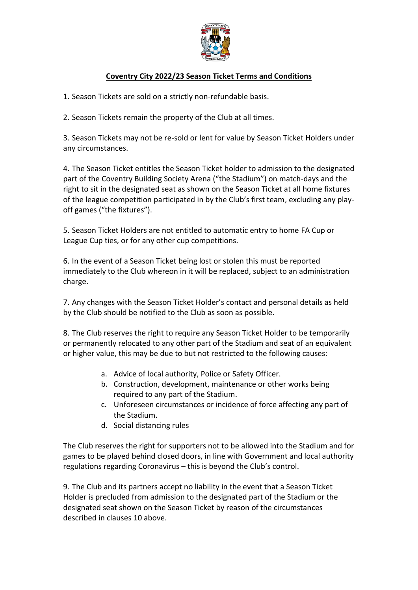

## **Coventry City 2022/23 Season Ticket Terms and Conditions**

1. Season Tickets are sold on a strictly non-refundable basis.

2. Season Tickets remain the property of the Club at all times.

3. Season Tickets may not be re-sold or lent for value by Season Ticket Holders under any circumstances.

4. The Season Ticket entitles the Season Ticket holder to admission to the designated part of the Coventry Building Society Arena ("the Stadium") on match-days and the right to sit in the designated seat as shown on the Season Ticket at all home fixtures of the league competition participated in by the Club's first team, excluding any playoff games ("the fixtures").

5. Season Ticket Holders are not entitled to automatic entry to home FA Cup or League Cup ties, or for any other cup competitions.

6. In the event of a Season Ticket being lost or stolen this must be reported immediately to the Club whereon in it will be replaced, subject to an administration charge.

7. Any changes with the Season Ticket Holder's contact and personal details as held by the Club should be notified to the Club as soon as possible.

8. The Club reserves the right to require any Season Ticket Holder to be temporarily or permanently relocated to any other part of the Stadium and seat of an equivalent or higher value, this may be due to but not restricted to the following causes:

- a. Advice of local authority, Police or Safety Officer.
- b. Construction, development, maintenance or other works being required to any part of the Stadium.
- c. Unforeseen circumstances or incidence of force affecting any part of the Stadium.
- d. Social distancing rules

The Club reserves the right for supporters not to be allowed into the Stadium and for games to be played behind closed doors, in line with Government and local authority regulations regarding Coronavirus – this is beyond the Club's control.

9. The Club and its partners accept no liability in the event that a Season Ticket Holder is precluded from admission to the designated part of the Stadium or the designated seat shown on the Season Ticket by reason of the circumstances described in clauses 10 above.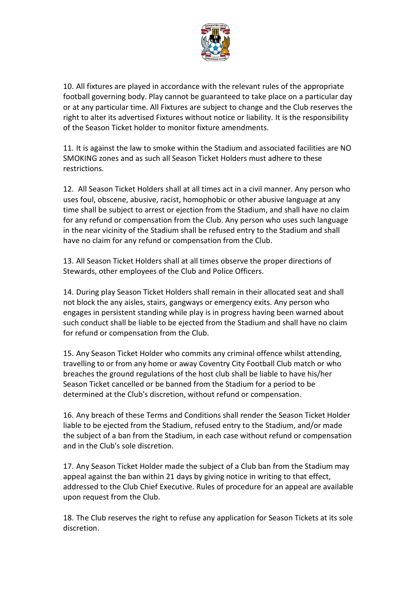

10. All fixtures are played in accordance with the relevant rules of the appropriate football governing body. Play cannot be guaranteed to take place on a particular day or at any particular time. All Fixtures are subject to change and the Club reserves the right to alter its advertised Fixtures without notice or liability. It is the responsibility of the Season Ticket holder to monitor fixture amendments.

11. It is against the law to smoke within the Stadium and associated facilities are NO SMOKING zones and as such all Season Ticket Holders must adhere to these restrictions.

12. All Season Ticket Holders shall at all times act in a civil manner. Any person who uses foul, obscene, abusive, racist, homophobic or other abusive language at any time shall be subject to arrest or ejection from the Stadium, and shall have no claim for any refund or compensation from the Club. Any person who uses such language in the near vicinity of the Stadium shall be refused entry to the Stadium and shall have no claim for any refund or compensation from the Club.

13. All Season Ticket Holders shall at all times observe the proper directions of Stewards, other employees of the Club and Police Officers.

14. During play Season Ticket Holders shall remain in their allocated seat and shall not block the any aisles, stairs, gangways or emergency exits. Any person who engages in persistent standing while play is in progress having been warned about such conduct shall be liable to be ejected from the Stadium and shall have no claim for refund or compensation from the Club.

15. Any Season Ticket Holder who commits any criminal offence whilst attending, travelling to or from any home or away Coventry City Football Club match or who breaches the ground regulations of the host club shall be liable to have his/her Season Ticket cancelled or be banned from the Stadium for a period to be determined at the Club's discretion, without refund or compensation.

16. Any breach of these Terms and Conditions shall render the Season Ticket Holder liable to be ejected from the Stadium, refused entry to the Stadium, and/or made the subject of a ban from the Stadium, in each case without refund or compensation and in the Club's sole discretion.

17. Any Season Ticket Holder made the subject of a Club ban from the Stadium may appeal against the ban within 21 days by giving notice in writing to that effect, addressed to the Club Chief Executive. Rules of procedure for an appeal are available upon request from the Club.

18. The Club reserves the right to refuse any application for Season Tickets at its sole discretion.